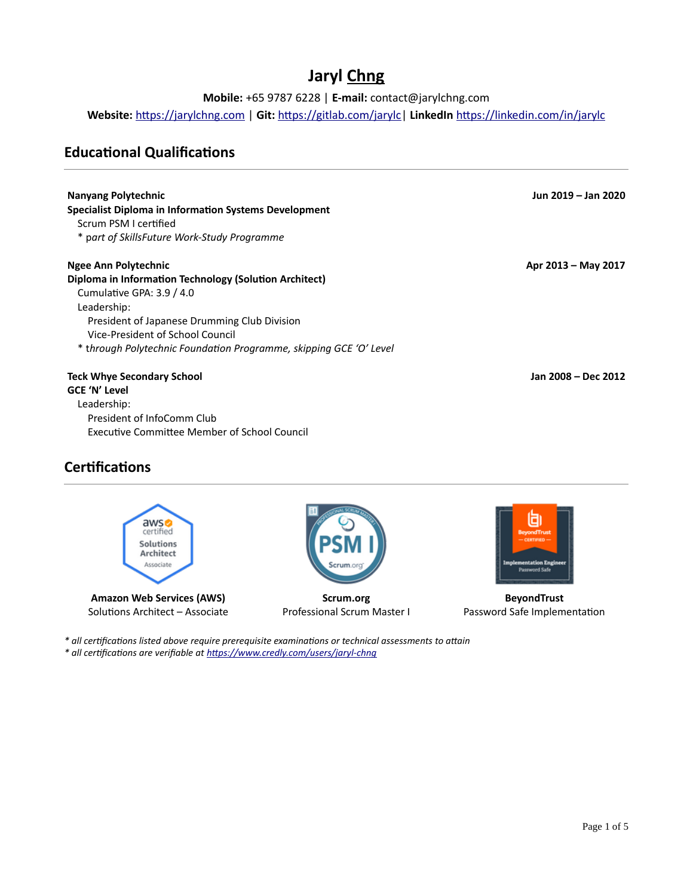# **Jaryl Chng**

**Mobile:** +65 9787 6228 | **E-mail:** contact@jarylchng.com

**Website:** [https://jarylchng.com](https://jarylchng.com/?utm_medium=resume) | **Git:** [https://gitlab.com/jarylc|](https://gitlab.com/jarylc/) **LinkedIn** <https://linkedin.com/in/jarylc>

## **Educational Qualifications**

| Nanyang Polytechnic                                                | Jun 2019 - Jan 2020 |
|--------------------------------------------------------------------|---------------------|
| <b>Specialist Diploma in Information Systems Development</b>       |                     |
| Scrum PSM Lcertified                                               |                     |
| * part of SkillsFuture Work-Study Programme                        |                     |
| Ngee Ann Polytechnic                                               | Apr 2013 - May 2017 |
| Diploma in Information Technology (Solution Architect)             |                     |
| Cumulative GPA: 3.9 / 4.0                                          |                     |
| Leadership:                                                        |                     |
| President of Japanese Drumming Club Division                       |                     |
| Vice-President of School Council                                   |                     |
| * through Polytechnic Foundation Programme, skipping GCE 'O' Level |                     |
| <b>Teck Whye Secondary School</b>                                  | Jan 2008 - Dec 2012 |
| <b>GCE 'N' Level</b>                                               |                     |
| Leadership:                                                        |                     |
| President of InfoComm Club                                         |                     |
| Executive Committee Member of School Council                       |                     |

# **Certifications**



Solutions Architect – Associate



**Scrum.org** Professional Scrum Master I



**BeyondTrust** Password Safe Implementation

*\* all certifications listed above require prerequisite examinations or technical assessments to attain \* all certifications are verifiable at <https://www.credly.com/users/jaryl-chng>*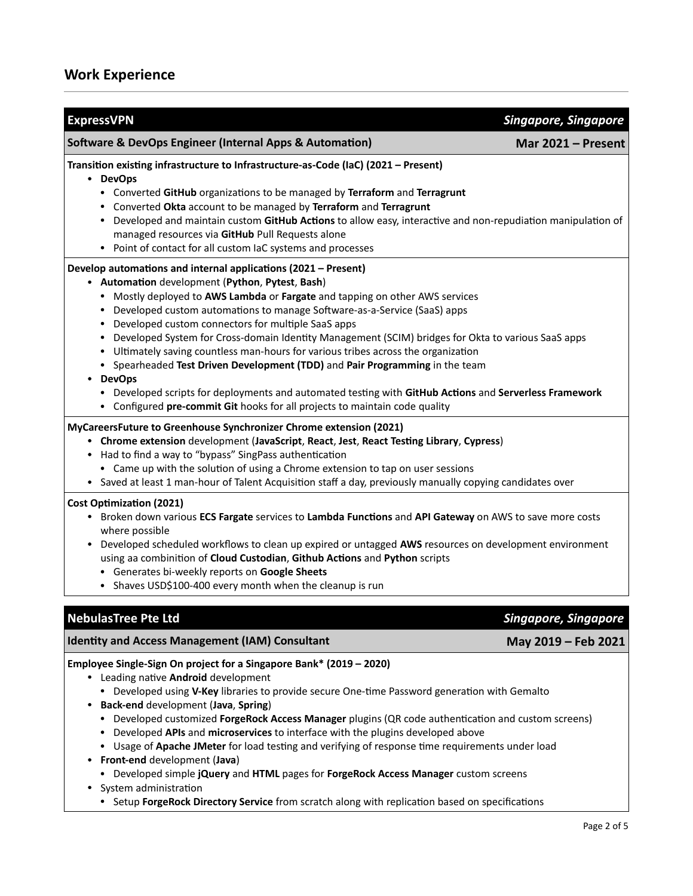| <b>ExpressVPN</b>                                                                                                                                                                                                                                                                                                                                                                                                                                                                                                                                                                                                                                                                                                                                                                                                          | <b>Singapore, Singapore</b> |
|----------------------------------------------------------------------------------------------------------------------------------------------------------------------------------------------------------------------------------------------------------------------------------------------------------------------------------------------------------------------------------------------------------------------------------------------------------------------------------------------------------------------------------------------------------------------------------------------------------------------------------------------------------------------------------------------------------------------------------------------------------------------------------------------------------------------------|-----------------------------|
| <b>Software &amp; DevOps Engineer (Internal Apps &amp; Automation)</b>                                                                                                                                                                                                                                                                                                                                                                                                                                                                                                                                                                                                                                                                                                                                                     | Mar 2021 - Present          |
| Transition existing infrastructure to Infrastructure-as-Code (IaC) (2021 - Present)<br>• DevOps<br>• Converted GitHub organizations to be managed by Terraform and Terragrunt<br>• Converted Okta account to be managed by Terraform and Terragrunt<br>• Developed and maintain custom GitHub Actions to allow easy, interactive and non-repudiation manipulation of<br>managed resources via GitHub Pull Requests alone<br>• Point of contact for all custom IaC systems and processes                                                                                                                                                                                                                                                                                                                                    |                             |
| Develop automations and internal applications (2021 - Present)<br>• Automation development (Python, Pytest, Bash)<br>• Mostly deployed to AWS Lambda or Fargate and tapping on other AWS services<br>• Developed custom automations to manage Software-as-a-Service (SaaS) apps<br>• Developed custom connectors for multiple SaaS apps<br>• Developed System for Cross-domain Identity Management (SCIM) bridges for Okta to various SaaS apps<br>• Ultimately saving countless man-hours for various tribes across the organization<br>• Spearheaded Test Driven Development (TDD) and Pair Programming in the team<br>• DevOps<br>• Developed scripts for deployments and automated testing with GitHub Actions and Serverless Framework<br>• Configured pre-commit Git hooks for all projects to maintain code quality |                             |
| MyCareersFuture to Greenhouse Synchronizer Chrome extension (2021)<br>Chrome extension development (JavaScript, React, Jest, React Testing Library, Cypress)<br>• Had to find a way to "bypass" SingPass authentication<br>• Came up with the solution of using a Chrome extension to tap on user sessions<br>• Saved at least 1 man-hour of Talent Acquisition staff a day, previously manually copying candidates over                                                                                                                                                                                                                                                                                                                                                                                                   |                             |
| <b>Cost Optimization (2021)</b><br>• Broken down various ECS Fargate services to Lambda Functions and API Gateway on AWS to save more costs<br>where possible<br>• Developed scheduled workflows to clean up expired or untagged AWS resources on development environment<br>using aa combinition of Cloud Custodian, Github Actions and Python scripts<br>• Generates bi-weekly reports on Google Sheets<br>• Shaves USD\$100-400 every month when the cleanup is run                                                                                                                                                                                                                                                                                                                                                     |                             |
| <b>NebulasTree Pte Ltd</b>                                                                                                                                                                                                                                                                                                                                                                                                                                                                                                                                                                                                                                                                                                                                                                                                 | <b>Singapore, Singapore</b> |
| <b>Identity and Access Management (IAM) Consultant</b>                                                                                                                                                                                                                                                                                                                                                                                                                                                                                                                                                                                                                                                                                                                                                                     | May 2019 - Feb 2021         |
| Employee Single-Sign On project for a Singapore Bank* (2019 - 2020)<br>• Leading native Android development<br>• Developed using V-Key libraries to provide secure One-time Password generation with Gemalto<br>• Back-end development (Java, Spring)<br>• Developed customized ForgeRock Access Manager plugins (QR code authentication and custom screens)<br>• Developed APIs and microservices to interface with the plugins developed above<br>• Usage of Apache JMeter for load testing and verifying of response time requirements under load<br>• Front-end development (Java)<br>• Developed simple jQuery and HTML pages for ForgeRock Access Manager custom screens<br>System administration                                                                                                                    |                             |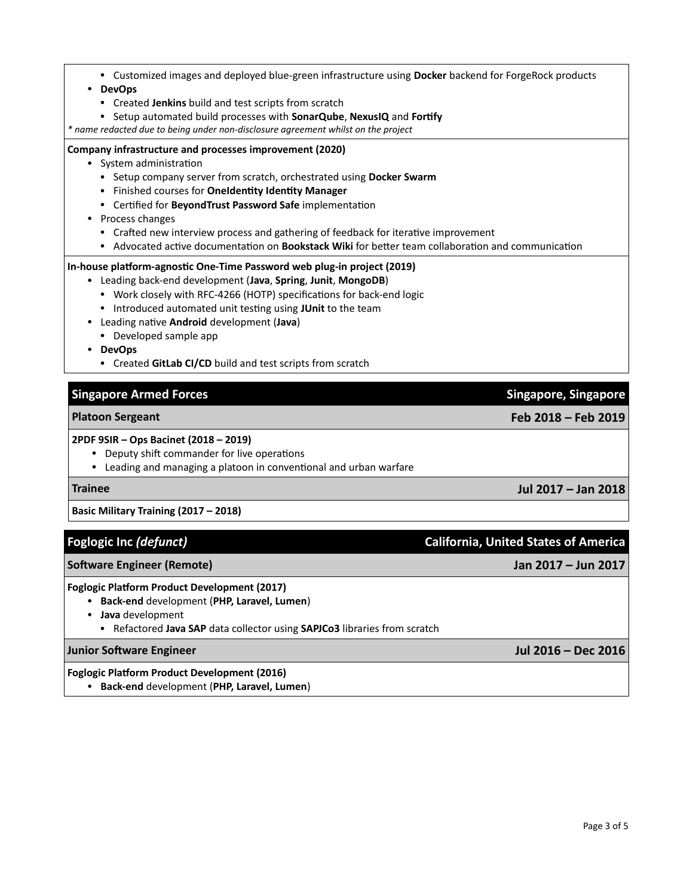*\* name redacted due to being under non-disclosure agreement whilst on the project*

#### **Company infrastructure and processes improvement (2020)**

- System administration
	- Setup company server from scratch, orchestrated using **Docker Swarm**

• Setup automated build processes with **SonarQube**, **NexusIQ** and **Fortify**

• Finished courses for **OneIdentity Identity Manager**

• Created **Jenkins** build and test scripts from scratch

- Certified for **BeyondTrust Password Safe** implementation
- Process changes

• **DevOps**

- Crafted new interview process and gathering of feedback for iterative improvement
- Advocated active documentation on **Bookstack Wiki** for better team collaboration and communication

• Customized images and deployed blue-green infrastructure using **Docker** backend for ForgeRock products

### **In-house platform-agnostic One-Time Password web plug-in project (2019)**

- Leading back-end development (**Java**, **Spring**, **Junit**, **MongoDB**)
	- Work closely with RFC-4266 (HOTP) specifications for back-end logic
	- Introduced automated unit testing using **JUnit** to the team
- Leading native **Android** development (**Java**)
	- Developed sample app
- **DevOps**
	- Created **GitLab CI/CD** build and test scripts from scratch

### **Singapore Armed Forces Singapore, Singapore**

#### **2PDF 9SIR – Ops Bacinet (2018 – 2019)**

- Deputy shift commander for live operations
- Leading and managing a platoon in conventional and urban warfare

#### **Trainee Jul 2017 – Jan 2018**

### **Basic Military Training (2017 – 2018)**

## **Software Engineer (Remote) Jan 2017 – Jun 2017**

#### **Foglogic Platform Product Development (2017)**

- **Back-end** development (**PHP, Laravel, Lumen**)
- **Java** development
	- Refactored **Java SAP** data collector using **SAPJCo3** libraries from scratch

#### **Junior Software Engineer Jul 2016 – Dec 2016**

#### **Foglogic Platform Product Development (2016)**

• **Back-end** development (**PHP, Laravel, Lumen**)

## **Platoon Sergeant Feb 2018 – Feb 2019**

**Foglogic Inc** *(defunct)* **California, United States of America**

Page 3 of 5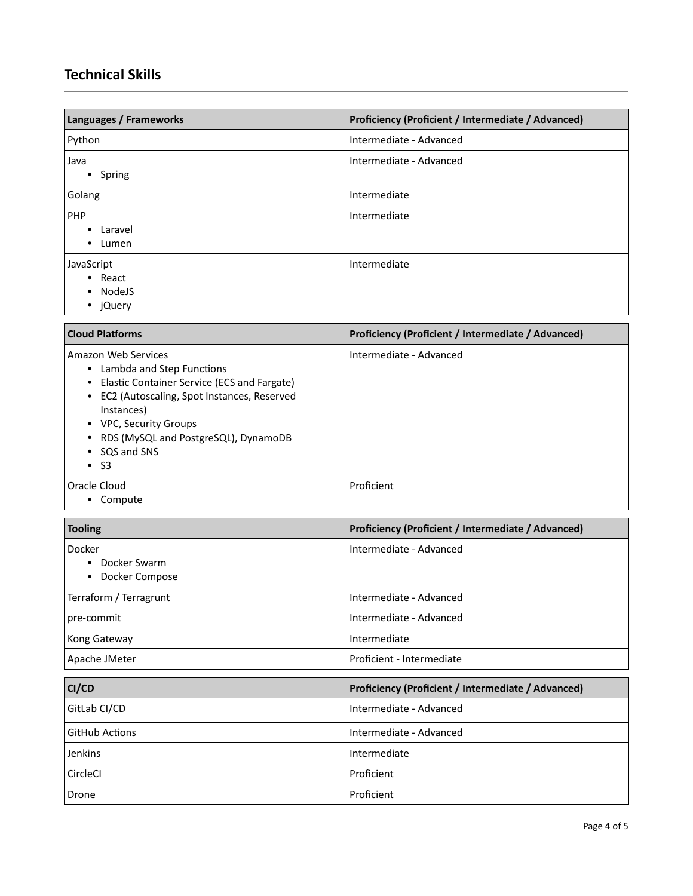# **Technical Skills**

| Languages / Frameworks                                                                                                                                                                                                                                                                                              | Proficiency (Proficient / Intermediate / Advanced) |
|---------------------------------------------------------------------------------------------------------------------------------------------------------------------------------------------------------------------------------------------------------------------------------------------------------------------|----------------------------------------------------|
| Python                                                                                                                                                                                                                                                                                                              | Intermediate - Advanced                            |
| Java<br>• Spring                                                                                                                                                                                                                                                                                                    | Intermediate - Advanced                            |
| Golang                                                                                                                                                                                                                                                                                                              | Intermediate                                       |
| PHP<br>Laravel<br>$\bullet$<br>Lumen<br>٠                                                                                                                                                                                                                                                                           | Intermediate                                       |
| JavaScript<br>React<br>٠<br>NodeJS<br>jQuery<br>٠                                                                                                                                                                                                                                                                   | Intermediate                                       |
| <b>Cloud Platforms</b>                                                                                                                                                                                                                                                                                              | Proficiency (Proficient / Intermediate / Advanced) |
| Amazon Web Services<br>Lambda and Step Functions<br>٠<br><b>Elastic Container Service (ECS and Fargate)</b><br>$\bullet$<br>EC2 (Autoscaling, Spot Instances, Reserved<br>$\bullet$<br>Instances)<br><b>VPC, Security Groups</b><br>٠<br>RDS (MySQL and PostgreSQL), DynamoDB<br>٠<br>SQS and SNS<br><b>S3</b><br>٠ | Intermediate - Advanced                            |
| Oracle Cloud<br>• Compute                                                                                                                                                                                                                                                                                           | Proficient                                         |
| <b>Tooling</b>                                                                                                                                                                                                                                                                                                      | Proficiency (Proficient / Intermediate / Advanced) |
| Docker<br>Docker Swarm<br>Docker Compose<br>٠                                                                                                                                                                                                                                                                       | Intermediate - Advanced                            |
| Terraform / Terragrunt                                                                                                                                                                                                                                                                                              | Intermediate - Advanced                            |
| pre-commit                                                                                                                                                                                                                                                                                                          | Intermediate - Advanced                            |
| Kong Gateway                                                                                                                                                                                                                                                                                                        | Intermediate                                       |
| Apache JMeter                                                                                                                                                                                                                                                                                                       | Proficient - Intermediate                          |
| CI/CD                                                                                                                                                                                                                                                                                                               | Proficiency (Proficient / Intermediate / Advanced) |
| GitLab CI/CD                                                                                                                                                                                                                                                                                                        | Intermediate - Advanced                            |
| <b>GitHub Actions</b>                                                                                                                                                                                                                                                                                               | Intermediate - Advanced                            |
| Jenkins                                                                                                                                                                                                                                                                                                             | Intermediate                                       |
| CircleCl                                                                                                                                                                                                                                                                                                            | Proficient                                         |
| Drone                                                                                                                                                                                                                                                                                                               | Proficient                                         |